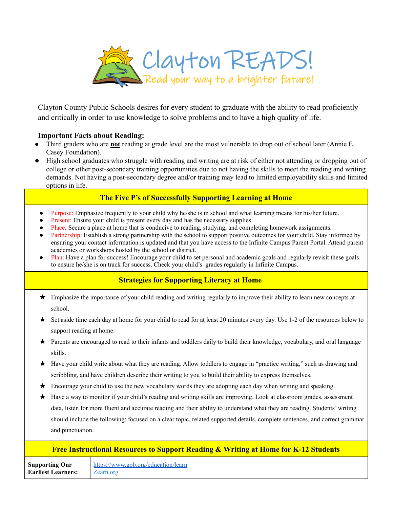

Clayton County Public Schools desires for every student to graduate with the ability to read proficiently and critically in order to use knowledge to solve problems and to have a high quality of life.

## **Important Facts about Reading:**

- Third graders who are **not** reading at grade level are the most vulnerable to drop out of school later (Annie E. Casey Foundation).
- High school graduates who struggle with reading and writing are at risk of either not attending or dropping out of college or other post-secondary training opportunities due to not having the skills to meet the reading and writing demands. Not having a post-secondary degree and/or training may lead to limited employability skills and limited options in life.

## **The Five P's of Successfully Supporting Learning at Home**

- Purpose: Emphasize frequently to your child why he/she is in school and what learning means for his/her future.
- Present: Ensure your child is present every day and has the necessary supplies.
- Place: Secure a place at home that is conducive to reading, studying, and completing homework assignments.
- Partnership: Establish a strong partnership with the school to support positive outcomes for your child. Stay informed by ensuring your contact information is updated and that you have access to the Infinite Campus Parent Portal. Attend parent academies or workshops hosted by the school or district.
- Plan: Have a plan for success! Encourage your child to set personal and academic goals and regularly revisit these goals to ensure he/she is on track for success. Check your child's grades regularly in Infinite Campus.

## **Strategies for Supporting Literacy at Home**

- ★ Emphasize the importance of your child reading and writing regularly to improve their ability to learn new concepts at school.
- ★ Set aside time each day at home for your child to read for at least 20 minutes every day. Use 1-2 of the resources below to support reading at home.
- ★ Parents are encouraged to read to their infants and toddlers daily to build their knowledge, vocabulary, and oral language skills.
- ★ Have your child write about what they are reading. Allow toddlers to engage in "practice writing," such as drawing and scribbling, and have children describe their writing to you to build their ability to express themselves.
- ★ Encourage your child to use the new vocabulary words they are adopting each day when writing and speaking.
- ★ Have a way to monitor if your child's reading and writing skills are improving. Look at classroom grades, assessment data, listen for more fluent and accurate reading and their ability to understand what they are reading. Students' writing should include the following: focused on a clear topic, related supported details, complete sentences, and correct grammar and punctuation.

## **Free Instructional Resources to Support Reading & Writing at Home for K-12 Students**

**Supporting Our Earliest Learners:** <https://www.gpb.org/education/learn> [Zearn.org](http://zearn.org)